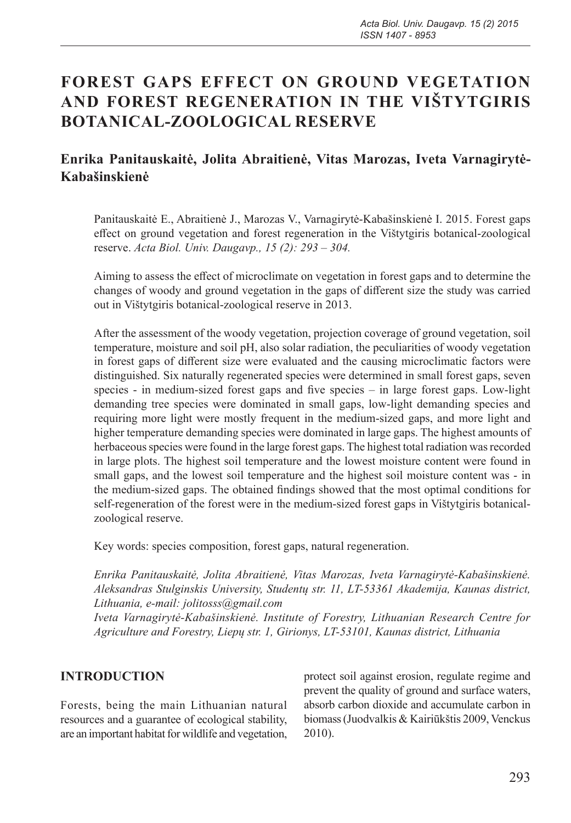# **FOREST GAPS EFFECT ON GROUND VEGETATION AND FOREST REGENERATION IN THE VIŠTYTGIRIS BOTANICAL-ZOOLOGICAL RESERVE**

## **Enrika Panitauskaitė, Jolita Abraitienė, Vitas Marozas, Iveta Varnagirytė-Kabašinskienė**

Panitauskaitė E., Abraitienė J., Marozas V., Varnagirytė-Kabašinskienė I. 2015. Forest gaps effect on ground vegetation and forest regeneration in the Vištytgiris botanical-zoological reserve. *Acta Biol. Univ. Daugavp., 15 (2): 293 – 304.*

Aiming to assess the effect of microclimate on vegetation in forest gaps and to determine the changes of woody and ground vegetation in the gaps of different size the study was carried out in Vištytgiris botanical-zoological reserve in 2013.

After the assessment of the woody vegetation, projection coverage of ground vegetation, soil temperature, moisture and soil pH, also solar radiation, the peculiarities of woody vegetation in forest gaps of different size were evaluated and the causing microclimatic factors were distinguished. Six naturally regenerated species were determined in small forest gaps, seven species - in medium-sized forest gaps and five species – in large forest gaps. Low-light demanding tree species were dominated in small gaps, low-light demanding species and requiring more light were mostly frequent in the medium-sized gaps, and more light and higher temperature demanding species were dominated in large gaps. The highest amounts of herbaceous species were found in the large forest gaps. The highest total radiation was recorded in large plots. The highest soil temperature and the lowest moisture content were found in small gaps, and the lowest soil temperature and the highest soil moisture content was - in the medium-sized gaps. The obtained findings showed that the most optimal conditions for self-regeneration of the forest were in the medium-sized forest gaps in Vištytgiris botanicalzoological reserve.

Key words: species composition, forest gaps, natural regeneration.

*Enrika Panitauskaitė, Jolita Abraitienė, Vitas Marozas, Iveta Varnagirytė-Kabašinskienė. Aleksandras Stulginskis University, Studentų str. 11, LT-53361 Akademija, Kaunas district, Lithuania, e-mail: jolitosss@gmail.com*

*Iveta Varnagirytė-Kabašinskienė. Institute of Forestry, Lithuanian Research Centre for Agriculture and Forestry, Liepų str. 1, Girionys, LT-53101, Kaunas district, Lithuania*

#### **INTRODUCTION**

Forests, being the main Lithuanian natural resources and a guarantee of ecological stability, are an important habitat for wildlife and vegetation,

protect soil against erosion, regulate regime and prevent the quality of ground and surface waters, absorb carbon dioxide and accumulate carbon in biomass (Juodvalkis & Kairiūkštis 2009, Venckus 2010).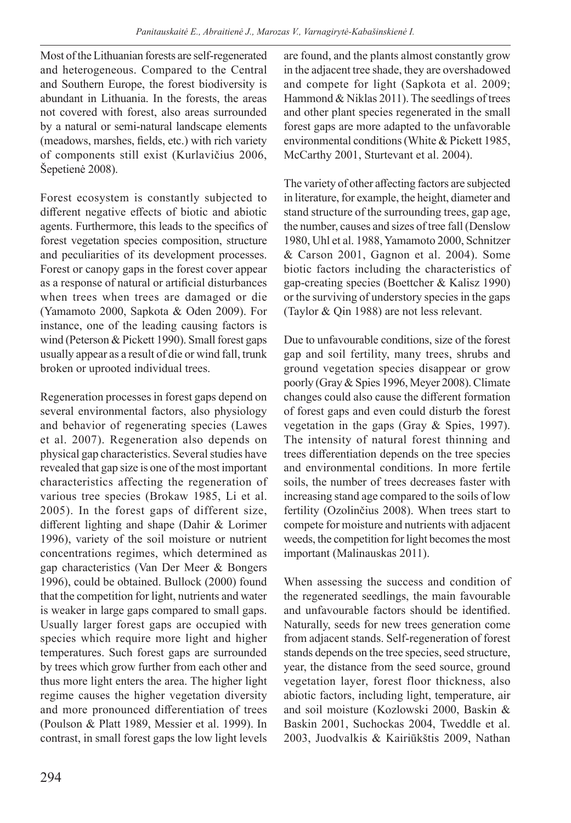Most of the Lithuanian forests are self-regenerated and heterogeneous. Compared to the Central and Southern Europe, the forest biodiversity is abundant in Lithuania. In the forests, the areas not covered with forest, also areas surrounded by a natural or semi-natural landscape elements (meadows, marshes, fields, etc.) with rich variety of components still exist (Kurlavičius 2006, Šepetienė 2008).

Forest ecosystem is constantly subjected to different negative effects of biotic and abiotic agents. Furthermore, this leads to the specifics of forest vegetation species composition, structure and peculiarities of its development processes. Forest or canopy gaps in the forest cover appear as a response of natural or artificial disturbances when trees when trees are damaged or die (Yamamoto 2000, Sapkota & Oden 2009). For instance, one of the leading causing factors is wind (Peterson & Pickett 1990). Small forest gaps usually appear as a result of die or wind fall, trunk broken or uprooted individual trees.

Regeneration processes in forest gaps depend on several environmental factors, also physiology and behavior of regenerating species (Lawes et al. 2007). Regeneration also depends on physical gap characteristics. Several studies have revealed that gap size is one of the most important characteristics affecting the regeneration of various tree species (Brokaw 1985, Li et al. 2005). In the forest gaps of different size, different lighting and shape (Dahir & Lorimer 1996), variety of the soil moisture or nutrient concentrations regimes, which determined as gap characteristics (Van Der Meer & Bongers 1996), could be obtained. Bullock (2000) found that the competition for light, nutrients and water is weaker in large gaps compared to small gaps. Usually larger forest gaps are occupied with species which require more light and higher temperatures. Such forest gaps are surrounded by trees which grow further from each other and thus more light enters the area. The higher light regime causes the higher vegetation diversity and more pronounced differentiation of trees (Poulson & Platt 1989, Messier et al. 1999). In contrast, in small forest gaps the low light levels

are found, and the plants almost constantly grow in the adjacent tree shade, they are overshadowed and compete for light (Sapkota et al. 2009; Hammond & Niklas 2011). The seedlings of trees and other plant species regenerated in the small forest gaps are more adapted to the unfavorable environmental conditions (White & Pickett 1985, McCarthy 2001, Sturtevant et al. 2004).

The variety of other affecting factors are subjected in literature, for example, the height, diameter and stand structure of the surrounding trees, gap age, the number, causes and sizes of tree fall (Denslow 1980, Uhl et al. 1988, Yamamoto 2000, Schnitzer & Carson 2001, Gagnon et al. 2004). Some biotic factors including the characteristics of gap-creating species (Boettcher & Kalisz 1990) or the surviving of understory species in the gaps (Taylor & Qin 1988) are not less relevant.

Due to unfavourable conditions, size of the forest gap and soil fertility, many trees, shrubs and ground vegetation species disappear or grow poorly (Gray & Spies 1996, Meyer 2008). Climate changes could also cause the different formation of forest gaps and even could disturb the forest vegetation in the gaps (Gray & Spies, 1997). The intensity of natural forest thinning and trees differentiation depends on the tree species and environmental conditions. In more fertile soils, the number of trees decreases faster with increasing stand age compared to the soils of low fertility (Ozolinčius 2008). When trees start to compete for moisture and nutrients with adjacent weeds, the competition for light becomes the most important (Malinauskas 2011).

When assessing the success and condition of the regenerated seedlings, the main favourable and unfavourable factors should be identified. Naturally, seeds for new trees generation come from adjacent stands. Self-regeneration of forest stands depends on the tree species, seed structure, year, the distance from the seed source, ground vegetation layer, forest floor thickness, also abiotic factors, including light, temperature, air and soil moisture (Kozlowski 2000, Baskin & Baskin 2001, Suchockas 2004, Tweddle et al. 2003, Juodvalkis & Kairiūkštis 2009, Nathan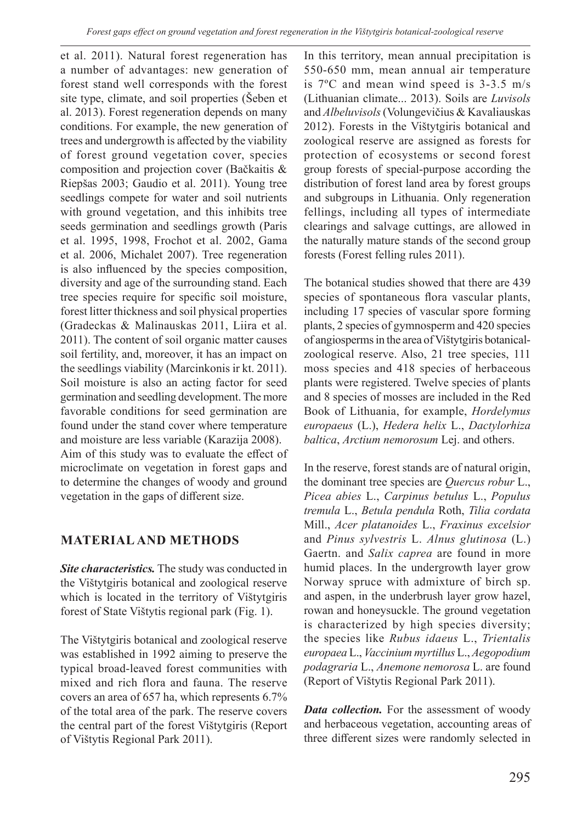et al. 2011). Natural forest regeneration has a number of advantages: new generation of forest stand well corresponds with the forest site type, climate, and soil properties (Šeben et al. 2013). Forest regeneration depends on many conditions. For example, the new generation of trees and undergrowth is affected by the viability of forest ground vegetation cover, species composition and projection cover (Bačkaitis & Riepšas 2003; Gaudio et al. 2011). Young tree seedlings compete for water and soil nutrients with ground vegetation, and this inhibits tree seeds germination and seedlings growth (Paris et al. 1995, 1998, Frochot et al. 2002, Gama et al. 2006, Michalet 2007). Tree regeneration is also influenced by the species composition, diversity and age of the surrounding stand. Each tree species require for specific soil moisture, forest litter thickness and soil physical properties (Gradeckas & Malinauskas 2011, Liira et al. 2011). The content of soil organic matter causes soil fertility, and, moreover, it has an impact on the seedlings viability (Marcinkonis ir kt. 2011). Soil moisture is also an acting factor for seed germination and seedling development. The more favorable conditions for seed germination are found under the stand cover where temperature and moisture are less variable (Karazija 2008). Aim of this study was to evaluate the effect of microclimate on vegetation in forest gaps and to determine the changes of woody and ground vegetation in the gaps of different size.

## **MATERIAL AND METHODS**

*Site characteristics.* The study was conducted in the Vištytgiris botanical and zoological reserve which is located in the territory of Vištytgiris forest of State Vištytis regional park (Fig. 1).

The Vištytgiris botanical and zoological reserve was established in 1992 aiming to preserve the typical broad-leaved forest communities with mixed and rich flora and fauna. The reserve covers an area of 657 ha, which represents 6.7% of the total area of the park. The reserve covers the central part of the forest Vištytgiris (Report of Vištytis Regional Park 2011).

In this territory, mean annual precipitation is 550-650 mm, mean annual air temperature is 7ºC and mean wind speed is 3-3.5 m/s (Lithuanian climate... 2013). Soils are *Luvisols* and *Albeluvisols* (Volungevičius & Kavaliauskas 2012). Forests in the Vištytgiris botanical and zoological reserve are assigned as forests for protection of ecosystems or second forest group forests of special-purpose according the distribution of forest land area by forest groups and subgroups in Lithuania. Only regeneration fellings, including all types of intermediate clearings and salvage cuttings, are allowed in the naturally mature stands of the second group forests (Forest felling rules 2011).

The botanical studies showed that there are 439 species of spontaneous flora vascular plants, including 17 species of vascular spore forming plants, 2 species of gymnosperm and 420 species of angiosperms in the area of Vištytgiris botanicalzoological reserve. Also, 21 tree species, 111 moss species and 418 species of herbaceous plants were registered. Twelve species of plants and 8 species of mosses are included in the Red Book of Lithuania, for example, *Hordelymus europaeus* (L.), *Hedera helix* L., *Dactylorhiza baltica*, *Arctium nemorosum* Lej. and others.

In the reserve, forest stands are of natural origin, the dominant tree species are *Quercus robur* L., *Picea abies* L., *Carpinus betulus* L., *Populus tremula* L., *Betula pendula* Roth, *Tilia cordata* Mill., *Acer platanoides* L., *Fraxinus excelsior* and *Pinus sylvestris* L. *Alnus glutinosa* (L.) Gaertn. and *Salix caprea* are found in more humid places. In the undergrowth layer grow Norway spruce with admixture of birch sp. and aspen, in the underbrush layer grow hazel, rowan and honeysuckle. The ground vegetation is characterized by high species diversity; the species like *Rubus idaeus* L., *Trientalis europaea* L., *Vaccinium myrtillus* L., *Aegopodium podagraria* L., *Anemone nemorosa* L. are found (Report of Vištytis Regional Park 2011).

*Data collection.* For the assessment of woody and herbaceous vegetation, accounting areas of three different sizes were randomly selected in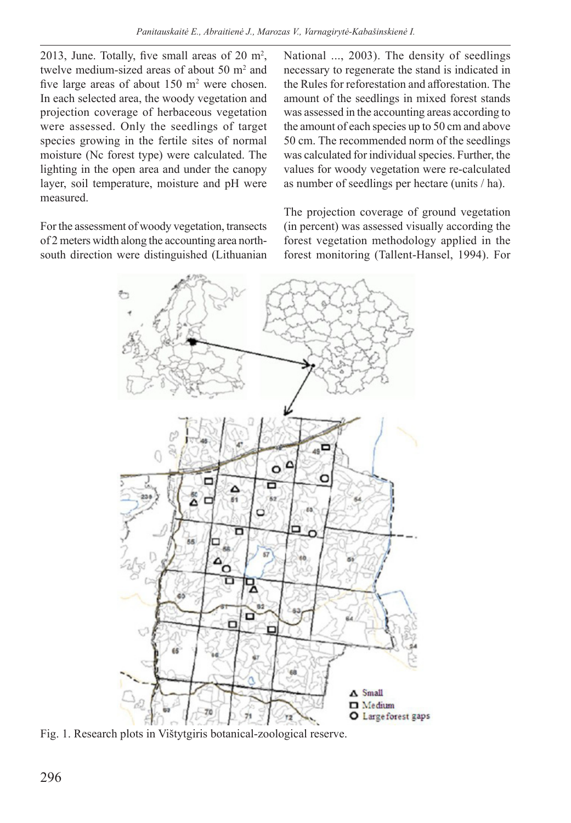2013, June. Totally, five small areas of 20  $m^2$ , twelve medium-sized areas of about  $50 \text{ m}^2$  and five large areas of about  $150 \text{ m}^2$  were chosen. In each selected area, the woody vegetation and projection coverage of herbaceous vegetation were assessed. Only the seedlings of target species growing in the fertile sites of normal moisture (Nc forest type) were calculated. The lighting in the open area and under the canopy layer, soil temperature, moisture and pH were measured.

For the assessment of woody vegetation, transects of 2 meters width along the accounting area northsouth direction were distinguished (Lithuanian National ..., 2003). The density of seedlings necessary to regenerate the stand is indicated in the Rules for reforestation and afforestation. The amount of the seedlings in mixed forest stands was assessed in the accounting areas according to the amount of each species up to 50 cm and above 50 cm. The recommended norm of the seedlings was calculated for individual species. Further, the values for woody vegetation were re-calculated as number of seedlings per hectare (units / ha).

The projection coverage of ground vegetation (in percent) was assessed visually according the forest vegetation methodology applied in the forest monitoring (Tallent-Hansel, 1994). For



Fig. 1. Research plots in Vištytgiris botanical-zoological reserve.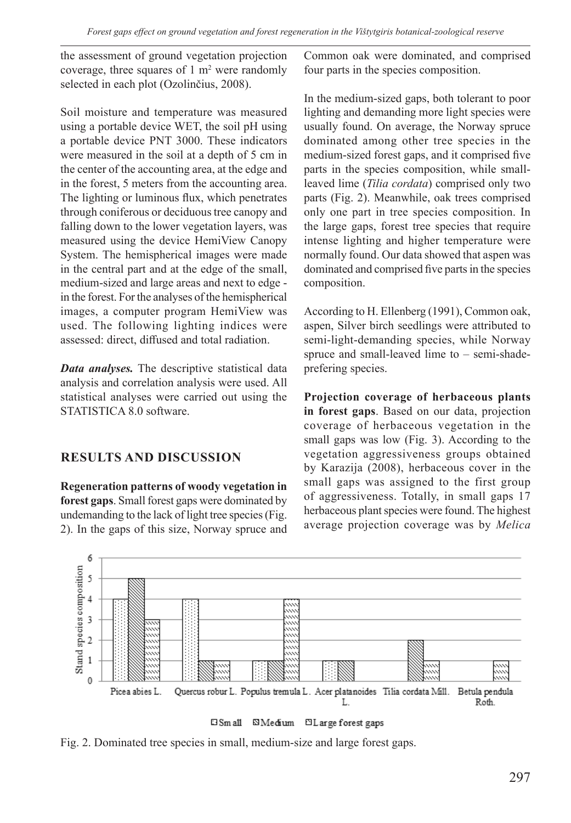the assessment of ground vegetation projection coverage, three squares of  $1 \text{ m}^2$  were randomly selected in each plot (Ozolinčius, 2008).

Soil moisture and temperature was measured using a portable device WET, the soil pH using a portable device PNT 3000. These indicators were measured in the soil at a depth of 5 cm in the center of the accounting area, at the edge and in the forest, 5 meters from the accounting area. The lighting or luminous flux, which penetrates through coniferous or deciduous tree canopy and falling down to the lower vegetation layers, was measured using the device HemiView Canopy System. The hemispherical images were made in the central part and at the edge of the small, medium-sized and large areas and next to edge in the forest. For the analyses of the hemispherical images, a computer program HemiView was used. The following lighting indices were assessed: direct, diffused and total radiation.

*Data analyses.* The descriptive statistical data analysis and correlation analysis were used. All statistical analyses were carried out using the STATISTICA 8.0 software.

## **RESULTS AND DISCUSSION**

**Regeneration patterns of woody vegetation in forest gaps**. Small forest gaps were dominated by undemanding to the lack of light tree species (Fig. 2). In the gaps of this size, Norway spruce and Common oak were dominated, and comprised four parts in the species composition.

In the medium-sized gaps, both tolerant to poor lighting and demanding more light species were usually found. On average, the Norway spruce dominated among other tree species in the medium-sized forest gaps, and it comprised five parts in the species composition, while smallleaved lime (*Tilia cordata*) comprised only two parts (Fig. 2). Meanwhile, oak trees comprised only one part in tree species composition. In the large gaps, forest tree species that require intense lighting and higher temperature were normally found. Our data showed that aspen was dominated and comprised five parts in the species composition.

According to H. Ellenberg (1991), Common oak, aspen, Silver birch seedlings were attributed to semi-light-demanding species, while Norway spruce and small-leaved lime to – semi-shadeprefering species.

**Projection coverage of herbaceous plants in forest gaps**. Based on our data, projection coverage of herbaceous vegetation in the small gaps was low (Fig. 3). According to the vegetation aggressiveness groups obtained by Karazija (2008), herbaceous cover in the small gaps was assigned to the first group of aggressiveness. Totally, in small gaps 17 herbaceous plant species were found. The highest average projection coverage was by *Melica* 





Fig. 2. Dominated tree species in small, medium-size and large forest gaps.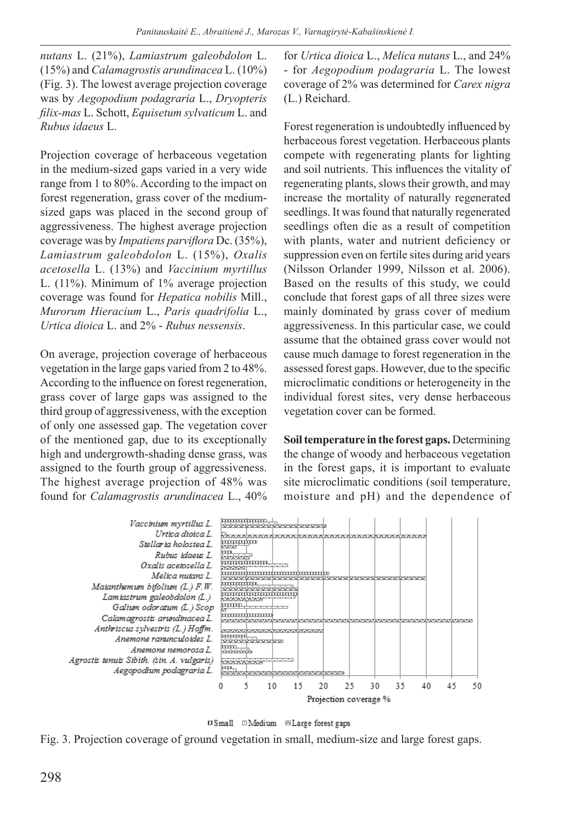*nutans* L. (21%), *Lamiastrum galeobdolon* L. (15%) and *Calamagrostis arundinacea* L. (10%) (Fig. 3). The lowest average projection coverage was by *Aegopodium podagraria* L., *Dryopteris filix-mas* L. Schott, *Equisetum sylvaticum* L. and *Rubus idaeus* L.

Projection coverage of herbaceous vegetation in the medium-sized gaps varied in a very wide range from 1 to 80%. According to the impact on forest regeneration, grass cover of the mediumsized gaps was placed in the second group of aggressiveness. The highest average projection coverage was by *Impatiens parviflora* Dc. (35%), *Lamiastrum galeobdolon* L. (15%), *Oxalis acetosella* L. (13%) and *Vaccinium myrtillus* L. (11%). Minimum of 1% average projection coverage was found for *Hepatica nobilis* Mill., *Murorum Hieracium* L., *Paris quadrifolia* L., *Urtica dioica* L. and 2% - *Rubus nessensis*.

On average, projection coverage of herbaceous vegetation in the large gaps varied from 2 to 48%. According to the influence on forest regeneration, grass cover of large gaps was assigned to the third group of aggressiveness, with the exception of only one assessed gap. The vegetation cover of the mentioned gap, due to its exceptionally high and undergrowth-shading dense grass, was assigned to the fourth group of aggressiveness. The highest average projection of 48% was found for *Calamagrostis arundinacea* L., 40% for *Urtica dioica* L., *Melica nutans* L., and 24% - for *Aegopodium podagraria* L. The lowest coverage of 2% was determined for *Carex nigra* (L.) Reichard.

Forest regeneration is undoubtedly influenced by herbaceous forest vegetation. Herbaceous plants compete with regenerating plants for lighting and soil nutrients. This influences the vitality of regenerating plants, slows their growth, and may increase the mortality of naturally regenerated seedlings. It was found that naturally regenerated seedlings often die as a result of competition with plants, water and nutrient deficiency or suppression even on fertile sites during arid years (Nilsson Orlander 1999, Nilsson et al. 2006). Based on the results of this study, we could conclude that forest gaps of all three sizes were mainly dominated by grass cover of medium aggressiveness. In this particular case, we could assume that the obtained grass cover would not cause much damage to forest regeneration in the assessed forest gaps. However, due to the specific microclimatic conditions or heterogeneity in the individual forest sites, very dense herbaceous vegetation cover can be formed.

**Soil temperature in the forest gaps.** Determining the change of woody and herbaceous vegetation in the forest gaps, it is important to evaluate site microclimatic conditions (soil temperature, moisture and pH) and the dependence of





Fig. 3. Projection coverage of ground vegetation in small, medium-size and large forest gaps.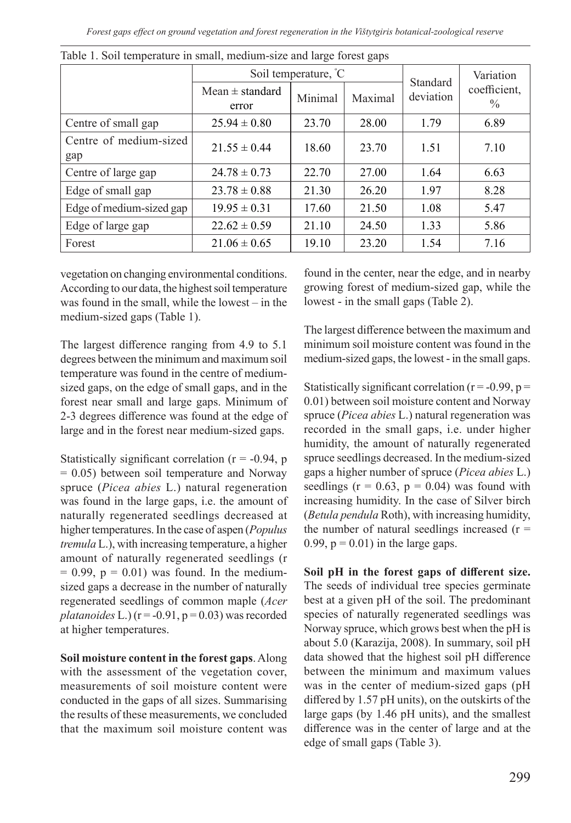|                               | Soil temperature, °C         |         |         | Standard  | Variation                     |
|-------------------------------|------------------------------|---------|---------|-----------|-------------------------------|
|                               | Mean $\pm$ standard<br>error | Minimal | Maximal | deviation | coefficient,<br>$\frac{0}{0}$ |
| Centre of small gap           | $25.94 \pm 0.80$             | 23.70   | 28.00   | 1.79      | 6.89                          |
| Centre of medium-sized<br>gap | $21.55 \pm 0.44$             | 18.60   | 23.70   | 1.51      | 7.10                          |
| Centre of large gap           | $24.78 \pm 0.73$             | 22.70   | 27.00   | 1.64      | 6.63                          |
| Edge of small gap             | $23.78 \pm 0.88$             | 21.30   | 26.20   | 1.97      | 8.28                          |
| Edge of medium-sized gap      | $19.95 \pm 0.31$             | 17.60   | 21.50   | 1.08      | 5.47                          |
| Edge of large gap             | $22.62 \pm 0.59$             | 21.10   | 24.50   | 1.33      | 5.86                          |
| Forest                        | $21.06 \pm 0.65$             | 19.10   | 23.20   | 1.54      | 7.16                          |

Table 1. Soil temperature in small, medium-size and large forest gaps

vegetation on changing environmental conditions. According to our data, the highest soil temperature was found in the small, while the lowest – in the medium-sized gaps (Table 1).

The largest difference ranging from 4.9 to 5.1 degrees between the minimum and maximum soil temperature was found in the centre of mediumsized gaps, on the edge of small gaps, and in the forest near small and large gaps. Minimum of 2-3 degrees difference was found at the edge of large and in the forest near medium-sized gaps.

Statistically significant correlation ( $r = -0.94$ , p = 0.05) between soil temperature and Norway spruce (*Picea abies* L.) natural regeneration was found in the large gaps, i.e. the amount of naturally regenerated seedlings decreased at higher temperatures. In the case of aspen (*Populus tremula* L.), with increasing temperature, a higher amount of naturally regenerated seedlings (r  $= 0.99$ ,  $p = 0.01$ ) was found. In the mediumsized gaps a decrease in the number of naturally regenerated seedlings of common maple (*Acer*   $platanoides$  L.) ( $r = -0.91$ ,  $p = 0.03$ ) was recorded at higher temperatures.

**Soil moisture content in the forest gaps**. Along with the assessment of the vegetation cover, measurements of soil moisture content were conducted in the gaps of all sizes. Summarising the results of these measurements, we concluded that the maximum soil moisture content was

found in the center, near the edge, and in nearby growing forest of medium-sized gap, while the lowest - in the small gaps (Table 2).

The largest difference between the maximum and minimum soil moisture content was found in the medium-sized gaps, the lowest - in the small gaps.

Statistically significant correlation ( $r = -0.99$ ,  $p =$ 0.01) between soil moisture content and Norway spruce (*Picea abies* L.) natural regeneration was recorded in the small gaps, i.e. under higher humidity, the amount of naturally regenerated spruce seedlings decreased. In the medium-sized gaps a higher number of spruce (*Picea abies* L.) seedlings  $(r = 0.63, p = 0.04)$  was found with increasing humidity. In the case of Silver birch (*Betula pendula* Roth), with increasing humidity, the number of natural seedlings increased  $(r =$ 0.99,  $p = 0.01$ ) in the large gaps.

**Soil pH in the forest gaps of different size.** The seeds of individual tree species germinate best at a given pH of the soil. The predominant species of naturally regenerated seedlings was Norway spruce, which grows best when the pH is about 5.0 (Karazija, 2008). In summary, soil pH data showed that the highest soil pH difference between the minimum and maximum values was in the center of medium-sized gaps (pH differed by 1.57 pH units), on the outskirts of the large gaps (by 1.46 pH units), and the smallest difference was in the center of large and at the edge of small gaps (Table 3).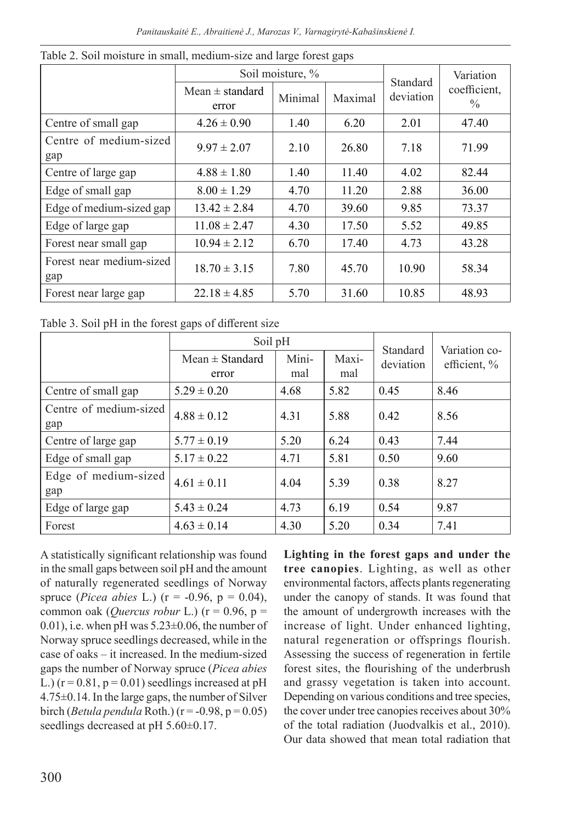|                                 | Soil moisture, %             |         |         | Standard  | Variation            |
|---------------------------------|------------------------------|---------|---------|-----------|----------------------|
|                                 | Mean $\pm$ standard<br>error | Minimal | Maximal | deviation | coefficient,<br>$\%$ |
| Centre of small gap             | $4.26 \pm 0.90$              | 1.40    | 6.20    | 2.01      | 47.40                |
| Centre of medium-sized<br>gap   | $9.97 \pm 2.07$              | 2.10    | 26.80   | 7.18      | 71.99                |
| Centre of large gap             | $4.88 \pm 1.80$              | 1.40    | 11.40   | 4.02      | 82.44                |
| Edge of small gap               | $8.00 \pm 1.29$              | 4.70    | 11.20   | 2.88      | 36.00                |
| Edge of medium-sized gap        | $13.42 \pm 2.84$             | 4.70    | 39.60   | 9.85      | 73.37                |
| Edge of large gap               | $11.08 \pm 2.47$             | 4.30    | 17.50   | 5.52      | 49.85                |
| Forest near small gap           | $10.94 \pm 2.12$             | 6.70    | 17.40   | 4.73      | 43.28                |
| Forest near medium-sized<br>gap | $18.70 \pm 3.15$             | 7.80    | 45.70   | 10.90     | 58.34                |
| Forest near large gap           | $22.18 \pm 4.85$             | 5.70    | 31.60   | 10.85     | 48.93                |

Table 2. Soil moisture in small, medium-size and large forest gaps

Table 3. Soil pH in the forest gaps of different size

|                               | Soil pH                      |              |              | Standard  | Variation co- |
|-------------------------------|------------------------------|--------------|--------------|-----------|---------------|
|                               | Mean $\pm$ Standard<br>error | Mini-<br>mal | Maxi-<br>mal | deviation | efficient, %  |
| Centre of small gap           | $5.29 \pm 0.20$              | 4.68         | 5.82         | 0.45      | 8.46          |
| Centre of medium-sized<br>gap | $4.88 \pm 0.12$              | 4.31         | 5.88         | 0.42      | 8.56          |
| Centre of large gap           | $5.77 \pm 0.19$              | 5.20         | 6.24         | 0.43      | 7.44          |
| Edge of small gap             | $5.17 \pm 0.22$              | 4.71         | 5.81         | 0.50      | 9.60          |
| Edge of medium-sized<br>gap   | $4.61 \pm 0.11$              | 4.04         | 5.39         | 0.38      | 8.27          |
| Edge of large gap             | $5.43 \pm 0.24$              | 4.73         | 6.19         | 0.54      | 9.87          |
| Forest                        | $4.63 \pm 0.14$              | 4.30         | 5.20         | 0.34      | 7.41          |

A statistically significant relationship was found in the small gaps between soil pH and the amount of naturally regenerated seedlings of Norway spruce (*Picea abies* L.) (r = -0.96, p = 0.04), common oak (*Quercus robur* L.) (r = 0.96, p = 0.01), i.e. when pH was  $5.23\pm0.06$ , the number of Norway spruce seedlings decreased, while in the case of oaks – it increased. In the medium-sized gaps the number of Norway spruce (*Picea abies* L.)  $(r = 0.81, p = 0.01)$  seedlings increased at pH 4.75±0.14. In the large gaps, the number of Silver birch (*Betula pendula* Roth.) ( $r = -0.98$ ,  $p = 0.05$ ) seedlings decreased at pH 5.60 $\pm$ 0.17.

**Lighting in the forest gaps and under the tree canopies**. Lighting, as well as other environmental factors, affects plants regenerating under the canopy of stands. It was found that the amount of undergrowth increases with the increase of light. Under enhanced lighting, natural regeneration or offsprings flourish. Assessing the success of regeneration in fertile forest sites, the flourishing of the underbrush and grassy vegetation is taken into account. Depending on various conditions and tree species, the cover under tree canopies receives about 30% of the total radiation (Juodvalkis et al., 2010). Our data showed that mean total radiation that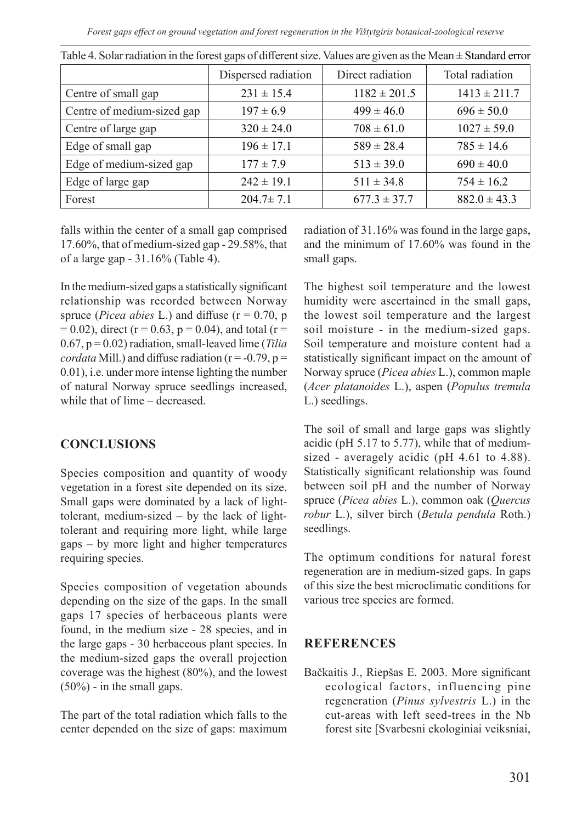*Forest gaps effect on ground vegetation and forest regeneration in the Vištytgiris botanical-zoological reserve*

|                            | Dispersed radiation | Direct radiation | Total radiation  |
|----------------------------|---------------------|------------------|------------------|
| Centre of small gap        | $231 \pm 15.4$      | $1182 \pm 201.5$ | $1413 \pm 211.7$ |
| Centre of medium-sized gap | $197 \pm 6.9$       | $499 \pm 46.0$   | $696 \pm 50.0$   |
| Centre of large gap        | $320 \pm 24.0$      | $708 \pm 61.0$   | $1027 \pm 59.0$  |
| Edge of small gap          | $196 \pm 17.1$      | $589 \pm 28.4$   | $785 \pm 14.6$   |
| Edge of medium-sized gap   | $177 \pm 7.9$       | $513 \pm 39.0$   | $690 \pm 40.0$   |
| Edge of large gap          | $242 \pm 19.1$      | $511 \pm 34.8$   | $754 \pm 16.2$   |
| Forest                     | $204.7 \pm 7.1$     | $677.3 \pm 37.7$ | $882.0 \pm 43.3$ |

Table 4. Solar radiation in the forest gaps of different size. Values are given as the Mean  $\pm$  Standard error

falls within the center of a small gap comprised 17.60%, that of medium-sized gap - 29.58%, that of a large gap - 31.16% (Table 4).

In the medium-sized gaps a statistically significant relationship was recorded between Norway spruce (*Picea abies* L.) and diffuse ( $r = 0.70$ ,  $p$ )  $= 0.02$ ), direct (r = 0.63, p = 0.04), and total (r = 0.67, p = 0.02) radiation, small-leaved lime (*Tilia cordata* Mill.) and diffuse radiation ( $r = -0.79$ ,  $p =$ 0.01), i.e. under more intense lighting the number of natural Norway spruce seedlings increased, while that of lime – decreased

## **CONCLUSIONS**

Species composition and quantity of woody vegetation in a forest site depended on its size. Small gaps were dominated by a lack of lighttolerant, medium-sized – by the lack of lighttolerant and requiring more light, while large gaps – by more light and higher temperatures requiring species.

Species composition of vegetation abounds depending on the size of the gaps. In the small gaps 17 species of herbaceous plants were found, in the medium size - 28 species, and in the large gaps - 30 herbaceous plant species. In the medium-sized gaps the overall projection coverage was the highest (80%), and the lowest (50%) - in the small gaps.

The part of the total radiation which falls to the center depended on the size of gaps: maximum radiation of 31.16% was found in the large gaps, and the minimum of 17.60% was found in the small gaps.

The highest soil temperature and the lowest humidity were ascertained in the small gaps, the lowest soil temperature and the largest soil moisture - in the medium-sized gaps. Soil temperature and moisture content had a statistically significant impact on the amount of Norway spruce (*Picea abies* L.), common maple (*Acer platanoides* L.), aspen (*Populus tremula* L.) seedlings.

The soil of small and large gaps was slightly acidic (pH 5.17 to 5.77), while that of mediumsized - averagely acidic (pH 4.61 to 4.88). Statistically significant relationship was found between soil pH and the number of Norway spruce (*Picea abies* L.), common oak (*Quercus robur* L.), silver birch (*Betula pendula* Roth.) seedlings.

The optimum conditions for natural forest regeneration are in medium-sized gaps. In gaps of this size the best microclimatic conditions for various tree species are formed.

## **REFERENCES**

Bačkaitis J., Riepšas E. 2003. More significant ecological factors, influencing pine regeneration (*Pinus sylvestris* L.) in the cut-areas with left seed-trees in the Nb forest site [Svarbesni ekologiniai veiksniai,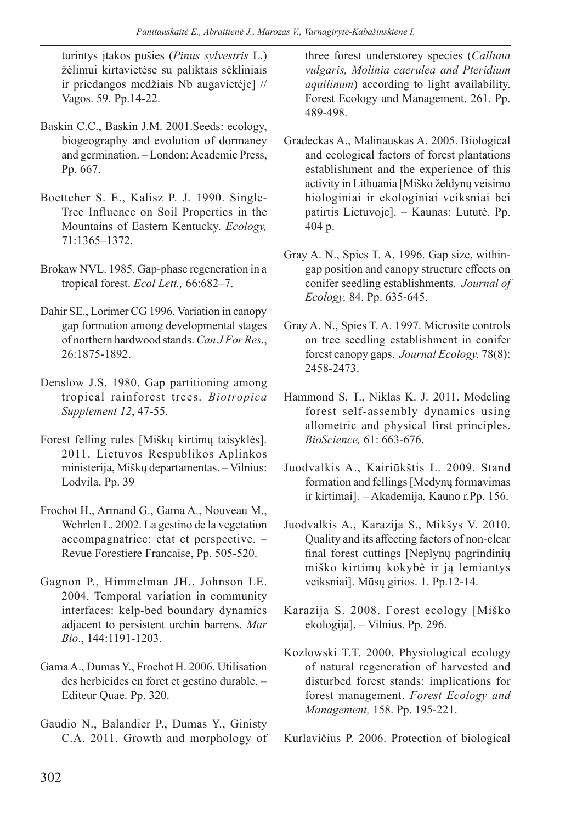turintys įtakos pušies (*Pinus sylvestris* L.) žėlimui kirtavietėse su paliktais sėkliniais ir priedangos medžiais Nb augavietėje] // Vagos. 59. Pp.14-22.

- Baskin C.C., Baskin J.M. 2001.Seeds: ecology, biogeography and evolution of dormaney and germination. – London: Academic Press, Pp. 667.
- Boettcher S. E., Kalisz P. J. 1990. Single-Tree Influence on Soil Properties in the Mountains of Eastern Kentucky. *Ecology,*  71:1365–1372.
- Brokaw NVL. 1985. Gap-phase regeneration in a tropical forest. *Ecol Lett.,* 66:682–7.
- Dahir SE., Lorimer CG 1996. Variation in canopy gap formation among developmental stages of northern hardwood stands. *Can J For Res*., 26:1875-1892.
- Denslow J.S. 1980. Gap partitioning among tropical rainforest trees. *Biotropica Supplement 12*, 47-55.
- Forest felling rules [Miškų kirtimų taisyklės]. 2011. Lietuvos Respublikos Aplinkos ministerija, Miškų departamentas. – Vilnius: Lodvila. Pp. 39
- Frochot H., Armand G., Gama A., Nouveau M., Wehrlen L. 2002. La gestino de la vegetation accompagnatrice: etat et perspective. – Revue Forestiere Francaise, Pp. 505-520.
- Gagnon P., Himmelman JH., Johnson LE. 2004. Temporal variation in community interfaces: kelp-bed boundary dynamics adjacent to persistent urchin barrens. *Mar Bio*., 144:1191-1203.
- Gama A., Dumas Y., Frochot H. 2006. Utilisation des herbicides en foret et gestino durable. – Editeur Quae. Pp. 320.
- Gaudio N., Balandier P., Dumas Y., Ginisty C.A. 2011. Growth and morphology of

three forest understorey species (*Calluna vulgaris, Molinia caerulea and Pteridium aquilinum*) according to light availability. Forest Ecology and Management. 261. Pp. 489-498.

- Gradeckas A., Malinauskas A. 2005. Biological and ecological factors of forest plantations establishment and the experience of this activity in Lithuania [Miško želdynų veisimo biologiniai ir ekologiniai veiksniai bei patirtis Lietuvoje]. – Kaunas: Lututė. Pp. 404 p.
- Gray A. N., Spies T. A. 1996. Gap size, withingap position and canopy structure effects on conifer seedling establishments. *Journal of Ecology,* 84. Pp. 635-645.
- Gray A. N., Spies T. A. 1997. Microsite controls on tree seedling establishment in conifer forest canopy gaps. *Journal Ecology.* 78(8): 2458-2473.
- Hammond S. T., Niklas K. J. 2011. Modeling forest self-assembly dynamics using allometric and physical first principles. *BioScience,* 61: 663-676.
- Juodvalkis A., Kairiūkštis L. 2009. Stand formation and fellings [Medynų formavimas ir kirtimai]. – Akademija, Kauno r.Pp. 156.
- Juodvalkis A., Karazija S., Mikšys V. 2010. Quality and its affecting factors of non-clear final forest cuttings [Neplynų pagrindinių miško kirtimų kokybė ir ją lemiantys veiksniai]. Mūsų girios. 1. Pp.12-14.
- Karazija S. 2008. Forest ecology [Miško ekologija]. – Vilnius. Pp. 296.
- Kozlowski T.T. 2000. Physiological ecology of natural regeneration of harvested and disturbed forest stands: implications for forest management. *Forest Ecology and Management,* 158. Pp. 195-221.

Kurlavičius P. 2006. Protection of biological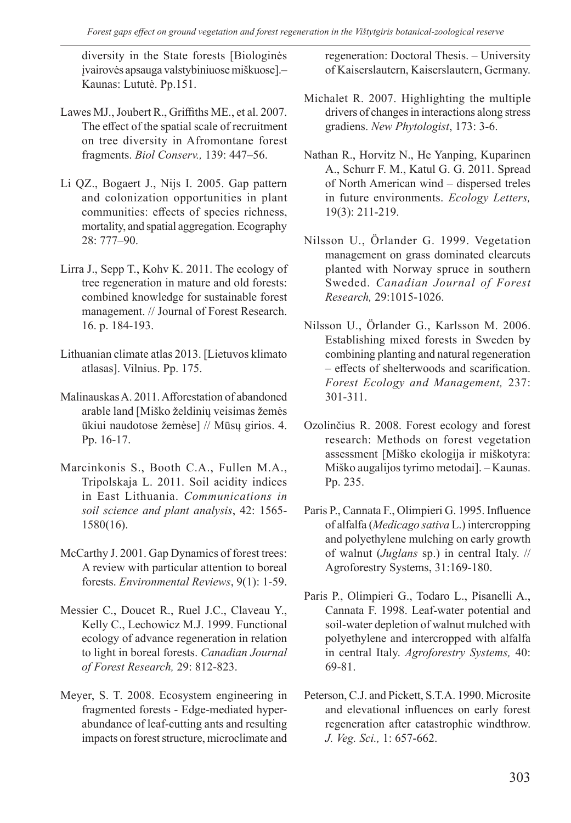diversity in the State forests [Biologinės įvairovės apsauga valstybiniuose miškuose].– Kaunas: Lututė. Pp.151.

- Lawes MJ., Joubert R., Griffiths ME., et al. 2007. The effect of the spatial scale of recruitment on tree diversity in Afromontane forest fragments. *Biol Conserv.,* 139: 447–56.
- Li QZ., Bogaert J., Nijs I. 2005. Gap pattern and colonization opportunities in plant communities: effects of species richness, mortality, and spatial aggregation. Ecography 28: 777–90.
- Lirra J., Sepp T., Kohv K. 2011. The ecology of tree regeneration in mature and old forests: combined knowledge for sustainable forest management. // Journal of Forest Research. 16. p. 184-193.
- Lithuanian climate atlas 2013. [Lietuvos klimato atlasas]. Vilnius. Pp. 175.
- Malinauskas A. 2011. Afforestation of abandoned arable land [Miško želdinių veisimas žemės ūkiui naudotose žemėse] // Mūsų girios. 4. Pp. 16-17.
- Marcinkonis S., Booth C.A., Fullen M.A., Tripolskaja L. 2011. Soil acidity indices in East Lithuania. *Communications in soil science and plant analysis*, 42: 1565- 1580(16).
- McCarthy J. 2001. Gap Dynamics of forest trees: A review with particular attention to boreal forests. *Environmental Reviews*, 9(1): 1-59.
- Messier C., Doucet R., Ruel J.C., Claveau Y., Kelly C., Lechowicz M.J. 1999. Functional ecology of advance regeneration in relation to light in boreal forests. *Canadian Journal of Forest Research,* 29: 812-823.
- Meyer, S. T. 2008. Ecosystem engineering in fragmented forests - Edge-mediated hyperabundance of leaf-cutting ants and resulting impacts on forest structure, microclimate and

regeneration: Doctoral Thesis. – University of Kaiserslautern, Kaiserslautern, Germany.

- Michalet R. 2007. Highlighting the multiple drivers of changes in interactions along stress gradiens. *New Phytologist*, 173: 3-6.
- Nathan R., Horvitz N., He Yanping, Kuparinen A., Schurr F. M., Katul G. G. 2011. Spread of North American wind – dispersed treles in future environments. *Ecology Letters,* 19(3): 211-219.
- Nilsson U., Örlander G. 1999. Vegetation management on grass dominated clearcuts planted with Norway spruce in southern Sweded. *Canadian Journal of Forest Research,* 29:1015-1026.
- Nilsson U., Örlander G., Karlsson M. 2006. Establishing mixed forests in Sweden by combining planting and natural regeneration – effects of shelterwoods and scarification. *Forest Ecology and Management,* 237: 301-311.
- Ozolinčius R. 2008. Forest ecology and forest research: Methods on forest vegetation assessment [Miško ekologija ir miškotyra: Miško augalijos tyrimo metodai]. – Kaunas. Pp. 235.
- Paris P., Cannata F., Olimpieri G. 1995. Influence of alfalfa (*Medicago sativa* L.) intercropping and polyethylene mulching on early growth of walnut (*Juglans* sp.) in central Italy. // Agroforestry Systems, 31:169-180.
- Paris P., Olimpieri G., Todaro L., Pisanelli A., Cannata F. 1998. Leaf-water potential and soil-water depletion of walnut mulched with polyethylene and intercropped with alfalfa in central Italy. *Agroforestry Systems,* 40: 69-81.
- Peterson, C.J. and Pickett, S.T.A. 1990. Microsite and elevational influences on early forest regeneration after catastrophic windthrow. *J. Veg. Sci.,* 1: 657-662.